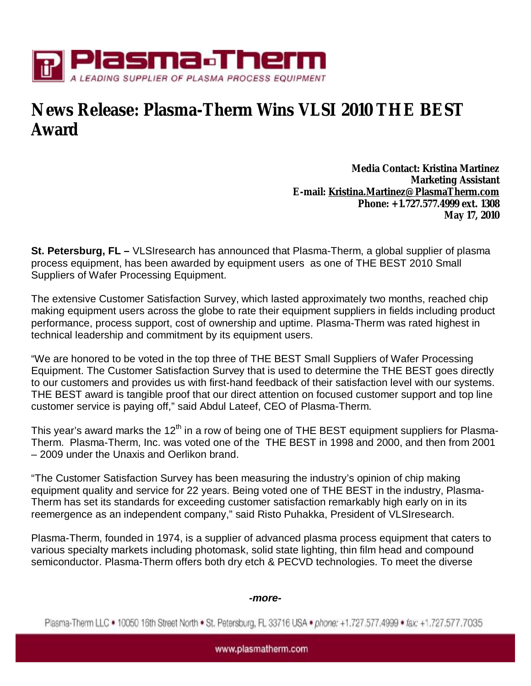

## **News Release: Plasma-Therm Wins VLSI 2010 THE BEST Award**

**Media Contact: Kristina Martinez Marketing Assistant E-mail: [Kristina.Martinez@PlasmaTherm.com](mailto:Kristina.Martinez@PlasmaTherm.com) Phone: +1.727.577.4999 ext. 1308 May 17, 2010** 

**St. Petersburg, FL –** VLSIresearch has announced that Plasma-Therm, a global supplier of plasma process equipment, has been awarded by equipment users as one of THE BEST 2010 Small Suppliers of Wafer Processing Equipment.

The extensive Customer Satisfaction Survey, which lasted approximately two months, reached chip making equipment users across the globe to rate their equipment suppliers in fields including product performance, process support, cost of ownership and uptime. Plasma-Therm was rated highest in technical leadership and commitment by its equipment users.

"We are honored to be voted in the top three of THE BEST Small Suppliers of Wafer Processing Equipment. The Customer Satisfaction Survey that is used to determine the THE BEST goes directly to our customers and provides us with first-hand feedback of their satisfaction level with our systems. THE BEST award is tangible proof that our direct attention on focused customer support and top line customer service is paying off," said Abdul Lateef, CEO of Plasma-Therm.

This year's award marks the 12<sup>th</sup> in a row of being one of THE BEST equipment suppliers for Plasma-Therm. Plasma-Therm, Inc. was voted one of the THE BEST in 1998 and 2000, and then from 2001 – 2009 under the Unaxis and Oerlikon brand.

"The Customer Satisfaction Survey has been measuring the industry's opinion of chip making equipment quality and service for 22 years. Being voted one of THE BEST in the industry, Plasma-Therm has set its standards for exceeding customer satisfaction remarkably high early on in its reemergence as an independent company," said Risto Puhakka, President of VLSIresearch.

Plasma-Therm, founded in 1974, is a supplier of advanced plasma process equipment that caters to various specialty markets including photomask, solid state lighting, thin film head and compound semiconductor. Plasma-Therm offers both dry etch & PECVD technologies. To meet the diverse

## *-more-*

Plasma-Therm LLC . 10050 16th Street North . St. Petersburg, FL 33716 USA . phone: +1.727.577.4999 . fax: +1.727.577.7035